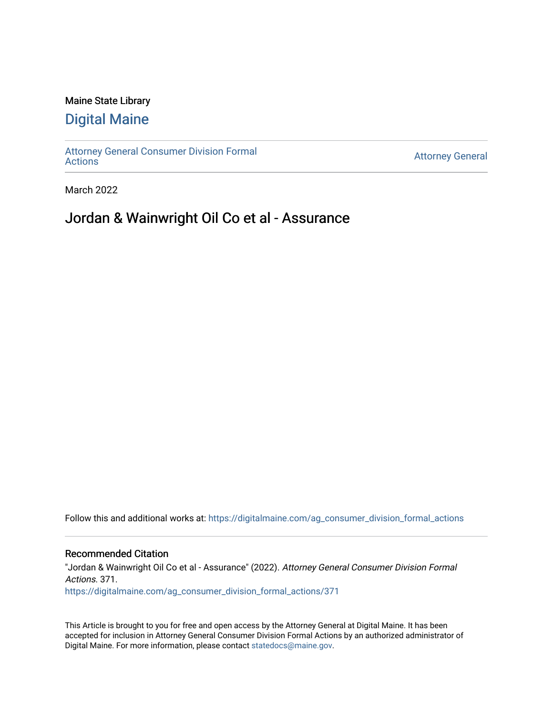### Maine State Library

## [Digital Maine](https://digitalmaine.com/)

[Attorney General Consumer Division Formal](https://digitalmaine.com/ag_consumer_division_formal_actions)  [Actions](https://digitalmaine.com/ag_consumer_division_formal_actions) [Attorney General](https://digitalmaine.com/attorney_general) 

March 2022

# Jordan & Wainwright Oil Co et al - Assurance

Follow this and additional works at: [https://digitalmaine.com/ag\\_consumer\\_division\\_formal\\_actions](https://digitalmaine.com/ag_consumer_division_formal_actions?utm_source=digitalmaine.com%2Fag_consumer_division_formal_actions%2F371&utm_medium=PDF&utm_campaign=PDFCoverPages) 

### Recommended Citation

"Jordan & Wainwright Oil Co et al - Assurance" (2022). Attorney General Consumer Division Formal Actions. 371. [https://digitalmaine.com/ag\\_consumer\\_division\\_formal\\_actions/371](https://digitalmaine.com/ag_consumer_division_formal_actions/371?utm_source=digitalmaine.com%2Fag_consumer_division_formal_actions%2F371&utm_medium=PDF&utm_campaign=PDFCoverPages) 

This Article is brought to you for free and open access by the Attorney General at Digital Maine. It has been accepted for inclusion in Attorney General Consumer Division Formal Actions by an authorized administrator of Digital Maine. For more information, please contact [statedocs@maine.gov.](mailto:statedocs@maine.gov)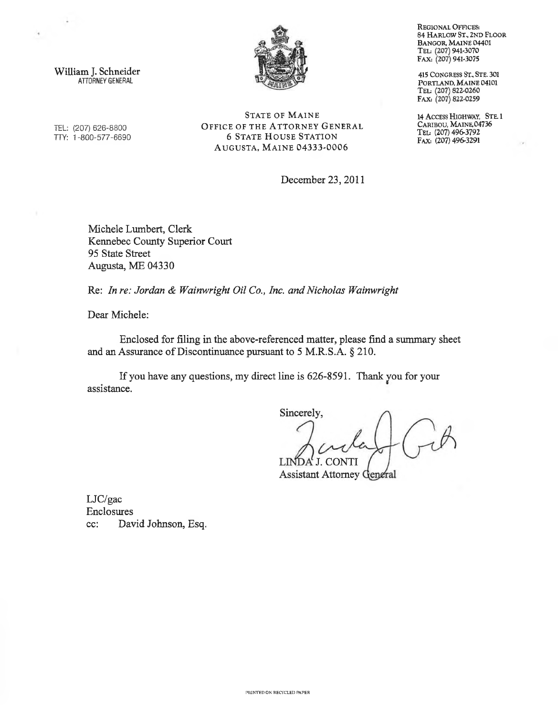

William J. Schneider ATTORNEY GENERAL

STATE OF MAINE TEL: (207) 626-8800 **OFFICE OF THE ATTORNEY GENERAL** TTY: 1-800-577-6690 6 STATE HOUSE STATION AUGUSTA, MAINE 04333-0006

December 23, 2011

Michele Lumbert, Clerk Kennebec County Superior Court 95 State Street Augusta, ME 04330

Re: *In re: Jordan & Wainwright Oil Co., Inc. and Nicholas Wainwright*

Dear Michele:

Enclosed for filing in the above-referenced matter, please find a summary sheet and an Assurance of Discontinuance pursuant to  $5$  M.R.S.A.  $\S$  210.

If you have any questions, my direct line is 626-8591. Thank you for your assistance.

Sincerely, LINDA' J. CONTI

**Assistant Attorney General** 

LJC/gac Enclosures cc: David Johnson, Esq. Regional Offices: **84 Harlow St., 2nd Floor Bangor, Maine 04401 Ted (207) 941-3070 FAX: (207) 941-3075**

**415** Congress St, Ste. **301** Portland, Maine **04101 TED (207) 822-0260 FAX (207) 822-0259**

**14 Access Highway, Ste.1** Caribou, Maine,**04736 Ted (207) 496-3792 Fax: (207) 496-3291**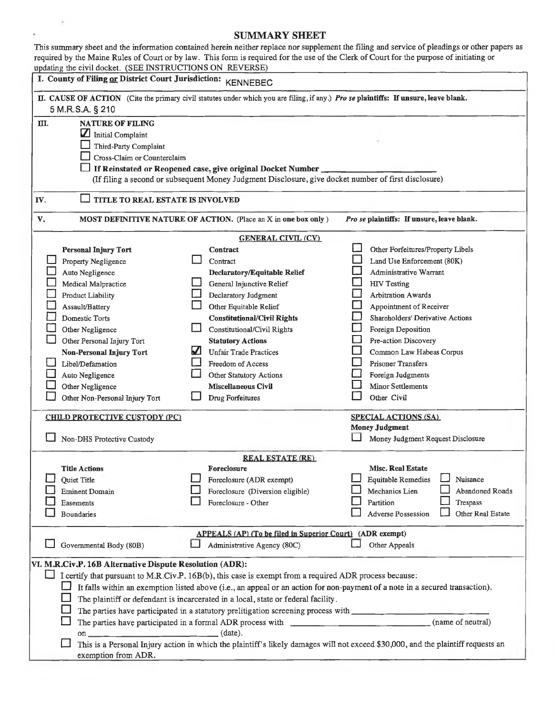### SUMMARY SHEET

 $\lambda$ 

| This summary sheet and the information contained herein neither replace nor supplement the filing and service of pleadings or other papers as<br>required by the Maine Rules of Court or by law. This form is required for the use of the Clerk of Court for the purpose of initiating or |                                                                                                                                                                                                                                                                                                                                                                           |                                                                                                                                                                                                                                                                                                                                                                                                           |                                                                                                                                                                                                                                                                                                                                                                                                                       |  |
|-------------------------------------------------------------------------------------------------------------------------------------------------------------------------------------------------------------------------------------------------------------------------------------------|---------------------------------------------------------------------------------------------------------------------------------------------------------------------------------------------------------------------------------------------------------------------------------------------------------------------------------------------------------------------------|-----------------------------------------------------------------------------------------------------------------------------------------------------------------------------------------------------------------------------------------------------------------------------------------------------------------------------------------------------------------------------------------------------------|-----------------------------------------------------------------------------------------------------------------------------------------------------------------------------------------------------------------------------------------------------------------------------------------------------------------------------------------------------------------------------------------------------------------------|--|
| updating the civil docket. (SEE INSTRUCTIONS ON REVERSE)<br>I. County of Filing or District Court Jurisdiction: KENNEBEC                                                                                                                                                                  |                                                                                                                                                                                                                                                                                                                                                                           |                                                                                                                                                                                                                                                                                                                                                                                                           |                                                                                                                                                                                                                                                                                                                                                                                                                       |  |
| II. CAUSE OF ACTION (Cite the primary civil statutes under which you are filing, if any.) Pro se plaintiffs: If unsure, leave blank.<br>5 M.R.S.A. § 210                                                                                                                                  |                                                                                                                                                                                                                                                                                                                                                                           |                                                                                                                                                                                                                                                                                                                                                                                                           |                                                                                                                                                                                                                                                                                                                                                                                                                       |  |
| Ш.                                                                                                                                                                                                                                                                                        | <b>NATURE OF FILING</b><br>$\boldsymbol{\mathbf{Z}}$<br>Initial Complaint<br>Third-Party Complaint<br>Cross-Claim or Counterclaim                                                                                                                                                                                                                                         | If Reinstated or Reopened case, give original Docket Number<br>(If filing a second or subsequent Money Judgment Disclosure, give docket number of first disclosure)                                                                                                                                                                                                                                       |                                                                                                                                                                                                                                                                                                                                                                                                                       |  |
| TITLE TO REAL ESTATE IS INVOLVED<br>IV.                                                                                                                                                                                                                                                   |                                                                                                                                                                                                                                                                                                                                                                           |                                                                                                                                                                                                                                                                                                                                                                                                           |                                                                                                                                                                                                                                                                                                                                                                                                                       |  |
| V.                                                                                                                                                                                                                                                                                        |                                                                                                                                                                                                                                                                                                                                                                           | MOST DEFINITIVE NATURE OF ACTION. (Place an X in one box only)                                                                                                                                                                                                                                                                                                                                            | Pro se plaintiffs: If unsure, leave blank.                                                                                                                                                                                                                                                                                                                                                                            |  |
|                                                                                                                                                                                                                                                                                           | Personal Injury Tort<br>Property Negligence<br>Auto Negligence<br>Medical Malpractice<br>Product Liability<br>Assault/Battery<br>Domestic Torts<br>Other Negligence<br>Other Personal Injury Tort<br><b>Non-Personal Injury Tort</b><br>Libel/Defamation<br>Auto Negligence<br>Other Negligence<br>Other Non-Personal Injury Tort<br><b>CHILD PROTECTIVE CUSTODY (PC)</b> | <b>GENERAL CIVIL (CV)</b><br>Contract<br>Contract<br>Declaratory/Equitable Relief<br>General Injunctive Relief<br>Declaratory Judgment<br>Other Equitable Relief<br><b>Constitutional/Civil Rights</b><br>Constitutional/Civil Rights<br><b>Statutory Actions</b><br>M<br><b>Unfair Trade Practices</b><br>Freedom of Access<br>Other Statutory Actions<br><b>Miscellaneous Civil</b><br>Drug Forfeitures | Other Forfeitures/Property Libels<br>Land Use Enforcement (80K)<br>Administrative Warrant<br><b>HIV Testing</b><br>Arbitration Awards<br>Appointment of Receiver<br>Shareholders' Derivative Actions<br>Foreign Deposition<br>Pre-action Discovery<br>Common Law Habeas Corpus<br>Prisoner Transfers<br>Foreign Judgments<br>Minor Settlements<br>Other Civil<br><b>SPECIAL ACTIONS (SA)</b><br><b>Money Judgment</b> |  |
|                                                                                                                                                                                                                                                                                           | Non-DHS Protective Custody                                                                                                                                                                                                                                                                                                                                                |                                                                                                                                                                                                                                                                                                                                                                                                           | Money Judgment Request Disclosure                                                                                                                                                                                                                                                                                                                                                                                     |  |
|                                                                                                                                                                                                                                                                                           | <b>Title Actions</b><br>Quiet Title<br><b>Eminent Domain</b><br>Easements<br><b>Boundaries</b>                                                                                                                                                                                                                                                                            | <b>REAL ESTATE (RE)</b><br>Foreclosure<br>Foreclosure (ADR exempt)<br>Foreclosure (Diversion eligible)<br>Foreclosure - Other                                                                                                                                                                                                                                                                             | <b>Misc. Real Estate</b><br>Nuisance<br><b>Equitable Remedies</b><br>Mechanics Lien<br>Abandoned Roads<br>Partition<br>Trespass<br><b>Adverse Possession</b><br>Other Real Estate                                                                                                                                                                                                                                     |  |
|                                                                                                                                                                                                                                                                                           | Governmental Body (80B)                                                                                                                                                                                                                                                                                                                                                   | APPEALS (AP) (To be filed in Superior Court) (ADR exempt)<br>Administrative Agency (80C)                                                                                                                                                                                                                                                                                                                  | Other Appeals                                                                                                                                                                                                                                                                                                                                                                                                         |  |
|                                                                                                                                                                                                                                                                                           | VI. M.R.Civ.P. 16B Alternative Dispute Resolution (ADR):<br>The parties have participated in a formal ADR process with<br>exemption from ADR.                                                                                                                                                                                                                             | I certify that pursuant to M.R.Civ.P. 16B(b), this case is exempt from a required ADR process because:<br>The plaintiff or defendant is incarcerated in a local, state or federal facility.<br>$(data)$ .                                                                                                                                                                                                 | It falls within an exemption listed above (i.e., an appeal or an action for non-payment of a note in a secured transaction).<br>(name of neutral)<br>This is a Personal Injury action in which the plaintiff's likely damages will not exceed \$30,000, and the plaintiff requests an                                                                                                                                 |  |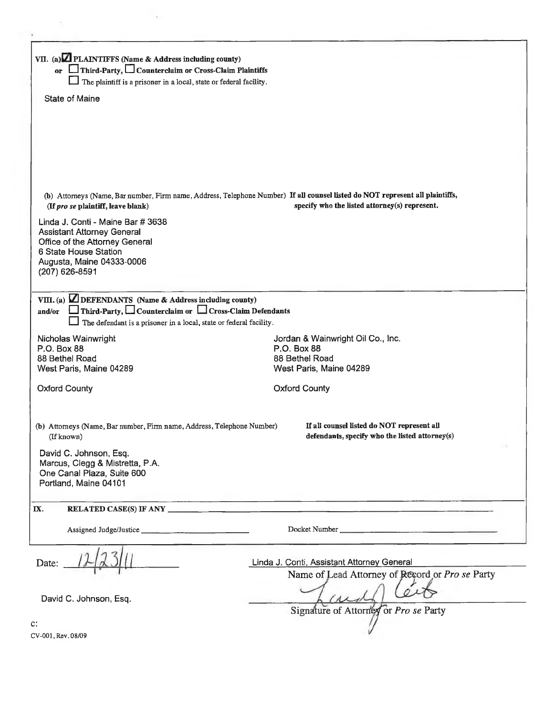| VII. (a) <b>Z</b> PLAINTIFFS (Name & Address including county)                                                                                                                                                            |                                                                                                                                                                                                                                |  |  |
|---------------------------------------------------------------------------------------------------------------------------------------------------------------------------------------------------------------------------|--------------------------------------------------------------------------------------------------------------------------------------------------------------------------------------------------------------------------------|--|--|
| or Third-Party, Counterclaim or Cross-Claim Plaintiffs                                                                                                                                                                    |                                                                                                                                                                                                                                |  |  |
| The plaintiff is a prisoner in a local, state or federal facility.                                                                                                                                                        |                                                                                                                                                                                                                                |  |  |
| <b>State of Maine</b>                                                                                                                                                                                                     |                                                                                                                                                                                                                                |  |  |
| (If pro se plaintiff, leave blank)<br>Linda J. Conti - Maine Bar # 3638<br><b>Assistant Attorney General</b><br>Office of the Attorney General<br>6 State House Station<br>Augusta, Maine 04333-0006<br>(207) 626-8591    | (b) Attorneys (Name, Bar number, Firm name, Address, Telephone Number) If all counsel listed do NOT represent all plaintiffs,<br>specify who the listed attorney(s) represent.                                                 |  |  |
| VIII. (a) $\Box$ DEFENDANTS (Name & Address including county)<br>$\Box$ Third-Party, $\Box$ Counterclaim or $\Box$ Cross-Claim Defendants<br>and/or<br>The defendant is a prisoner in a local, state or federal facility. |                                                                                                                                                                                                                                |  |  |
| Nicholas Wainwright                                                                                                                                                                                                       | Jordan & Wainwright Oil Co., Inc.                                                                                                                                                                                              |  |  |
| P.O. Box 88                                                                                                                                                                                                               | P.O. Box 88                                                                                                                                                                                                                    |  |  |
| 88 Bethel Road<br>West Paris, Maine 04289                                                                                                                                                                                 | 88 Bethel Road<br>West Paris, Maine 04289                                                                                                                                                                                      |  |  |
| <b>Oxford County</b>                                                                                                                                                                                                      | <b>Oxford County</b>                                                                                                                                                                                                           |  |  |
| (b) Attorneys (Name, Bar number, Firm name, Address, Telephone Number)<br>(If known)<br>David C. Johnson, Esq.                                                                                                            | If all counsel listed do NOT represent all<br>defendants, specify who the listed attorney(s)                                                                                                                                   |  |  |
| Marcus, Clegg & Mistretta, P.A.<br>One Canal Plaza, Suite 600<br>Portland, Maine 04101                                                                                                                                    |                                                                                                                                                                                                                                |  |  |
| IX.                                                                                                                                                                                                                       |                                                                                                                                                                                                                                |  |  |
|                                                                                                                                                                                                                           | Docket Number and the contract of the contract of the contract of the contract of the contract of the contract of the contract of the contract of the contract of the contract of the contract of the contract of the contract |  |  |
| Date:                                                                                                                                                                                                                     | Linda J. Conti, Assistant Attorney General<br>Name of Lead Attorney of Record or Pro se Party                                                                                                                                  |  |  |
| David C. Johnson, Esq.                                                                                                                                                                                                    | Signature of Attorney or Pro se Party                                                                                                                                                                                          |  |  |
| c:                                                                                                                                                                                                                        |                                                                                                                                                                                                                                |  |  |
| CV-001, Rev. 08/09                                                                                                                                                                                                        |                                                                                                                                                                                                                                |  |  |
|                                                                                                                                                                                                                           |                                                                                                                                                                                                                                |  |  |

 $\sim$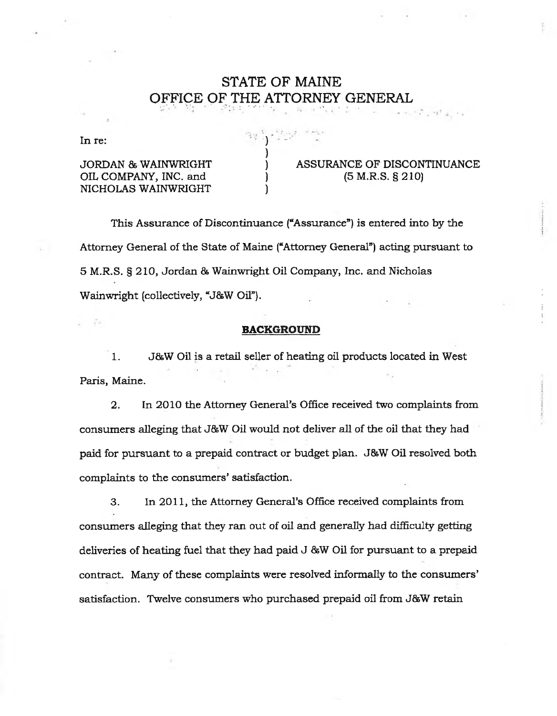# **STATE OF MAINE OFFICE OF THE ATTORNEY GENERAL**

In re:  $\left( \begin{array}{ccc} 1 & 0 \\ 0 & 1 \end{array} \right)$ 

)

OIL COMPANY, INC. and (5 M.R.S. § 210) NICHOLAS WAINWRIGHT )

JORDAN & WAINWRIGHT ) ASSURANCE OF DISCONTINUANCE

15° = 19° a., 12

This Assurance of Discontinuance ("Assurance") is entered into by the Attorney General of the State of Maine ("Attorney General") acting pursuant to 5 M.R.S. § 210, Jordan & Wainwright Oil Company, Inc. and Nicholas Wainwright (collectively, "J&W Oil").

#### **BACKGROUND**

1. J&W Oil is a retail seller of heating oil products located in West Paris, Maine.

2. In 2010 the Attorney General's Office received two complaints from consumers alleging that J&W Oil would not deliver all of the oil that they had paid for pursuant to a prepaid contract or budget plan. J&W Oil resolved both complaints to the consumers' satisfaction.

3. In 2011, the Attorney General's Office received complaints from consumers alleging that they ran out of oil and generally had difficulty getting deliveries of heating fuel that they had paid J &W Oil for pursuant to a prepaid contract. Many of these complaints were resolved informally to the consumers' satisfaction. Twelve consumers who purchased prepaid oil from J&W retain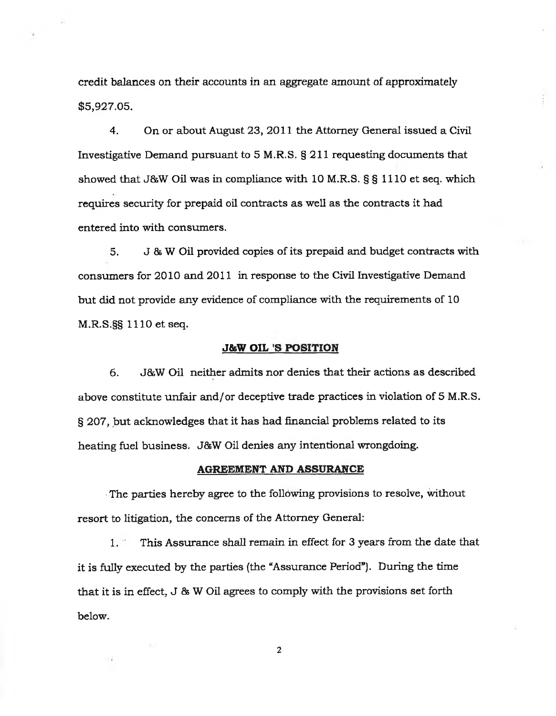credit balances on their accounts in an aggregate amount of approximately \$5,927.05.

4. On or about August 23, 2011 the Attorney General issued a Civil Investigative Demand pursuant to5M.R.S. §211 requesting documents that showed that J&W Oil was in compliance with 10M.R.S. § § 1110 et seq. which requires security for prepaid oil contracts as well as the contracts it had entered into with consumers.

5. J 8s W Oil provided copies of its prepaid and budget contracts with consumers for 2010 and 2011 in response to the Civil Investigative Demand but did not provide any evidence of compliance with the requirements of 10 M.R.S.§§ 1110 et seq.

### **J&W OIL 'S POSITION**

6. J&W Oil neither admits nor denies that their actions as described above constitute unfair and/or deceptive trade practices in violation of 5 M.R.S. § 207, but acknowledges that it has had financial problems related to its heating fuel business. J&W Oil denies any intentional wrongdoing.

#### **AGREEMENT AND ASSURANCE**

The parties hereby agree to the following provisions to resolve, without resort to litigation, the concerns of the Attorney General:

1. This Assurance shall remain in effect for 3 years from the date that it is fully executed by the parties (the "Assurance Period"). During the time that it is in effect, J & W Oil agrees to comply with the provisions set forth below.

**2**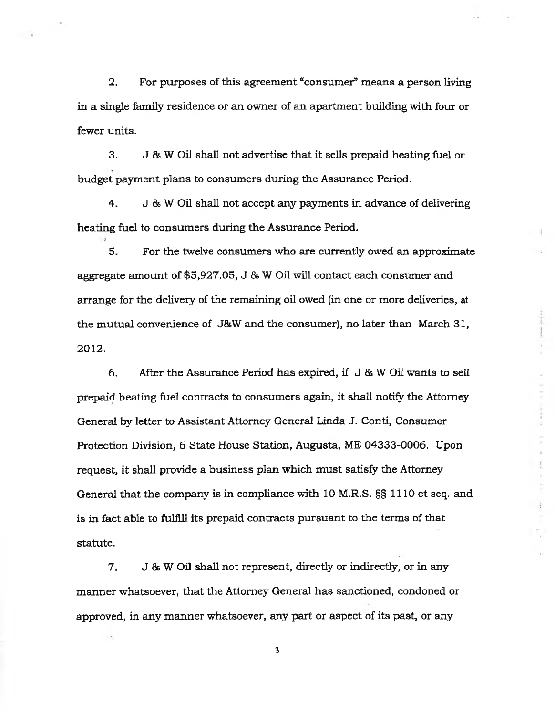2. For purposes of this agreement "consumer" means a person living in a single family residence or an owner of an apartment building with four or fewer units.

3. J & W Oil shall not advertise that it sells prepaid heating fuel or budget payment plans to consumers during the Assurance Period.

4. J & W Oil shall not accept any payments in advance of delivering heating fuel to consumers during the Assurance Period.

5. For the twelve consumers who are currently owed an approximate aggregate amount of \$5,927.05, J 8s W Oil will contact each consumer and arrange for the delivery of the remaining oil owed (in one or more deliveries, at the mutual convenience of J&W and the consumer), no later than March 31, 2012**.**

6. After the Assurance Period has expired, if  $J & W$  Oil wants to sell prepaid heating fuel contracts to consumers again, it shall notify the Attorney General by letter to Assistant Attorney General Linda J. Conti, Consumer Protection Division, 6 State House Station, Augusta, ME 04333-0006. Upon request, it shall provide a business plan which must satisfy the Attorney General that the company is in compliance with 10 M.R.S. §§ 1110 et seq. and is in fact able to fulfill its prepaid contracts pursuant to the terms of that statute.

7. J & W Oil shall not represent, directly or indirectly, or in any manner whatsoever, that the Attorney General has sanctioned, condoned or approved, in any manner whatsoever, any part or aspect of its past, or any

**3**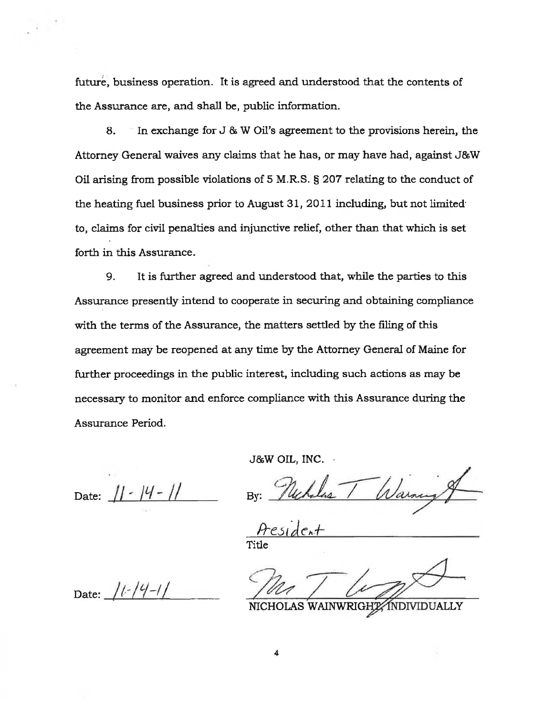future, business operation. It is agreed and understood that the contents of the Assurance are, and shall be, public information.

8. In exchange for J & W Oil's agreement to the provisions herein, the Attorney General waives any claims that he has, or may have had, against J&W Oil arising from possible violations of 5 M.R.S. § 207 relating to the conduct of the heating fuel business prior to August 31, 2011 including, but not limited to, claims for civil penalties and injunctive relief, other than that which is set forth in this Assurance.

9. It is further agreed and understood that, while the parties to this Assurance presently intend to cooperate in securing and obtaining compliance with the terms of the Assurance, the matters settled by the filing of this agreement may be reopened at any time by the Attorney General of Maine for further proceedings in the public interest, including such actions as may be necessary to monitor and enforce compliance with this Assurance during the Assurance Period.

J&W OIL, INC.  $\cdot$ 

Date:  $|| - ||$ 

*By*

Title

NICHOLAS WAINWRIGHZ INDIVIDUALLY

Date:  $11 - 14 - 11$